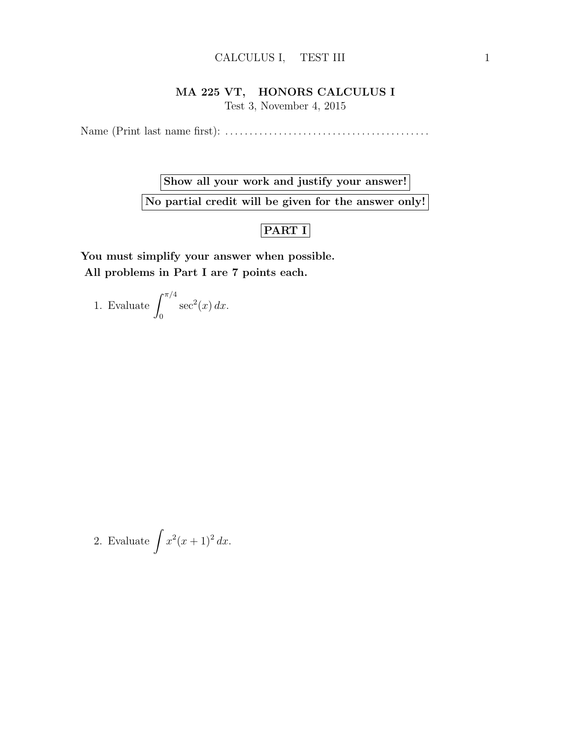## CALCULUS I, TEST III 1

## MA 225 VT, HONORS CALCULUS I

Test 3, November 4, 2015

Name (Print last name first): . . . . . . . . . . . . . . . . . . . . . . . . . . . . . . . . . . . . . . . . . .

Show all your work and justify your answer! No partial credit will be given for the answer only!

## PART I

You must simplify your answer when possible. All problems in Part I are 7 points each.

1. Evaluate  $\int_{0}^{\pi/4}$ 0  $\sec^2(x) dx$ .

2. Evaluate 
$$
\int x^2(x+1)^2 dx.
$$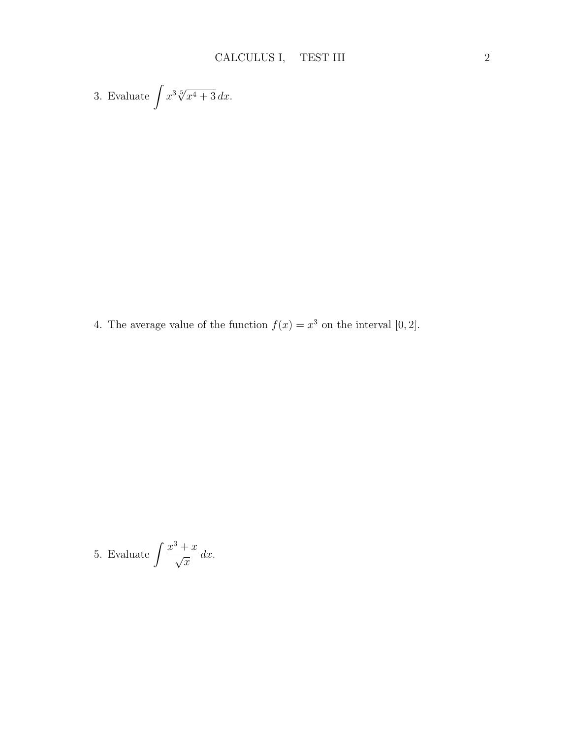3. Evaluate 
$$
\int x^3 \sqrt[5]{x^4 + 3} \, dx.
$$

4. The average value of the function  $f(x) = x^3$  on the interval [0, 2].

5. Evaluate 
$$
\int \frac{x^3 + x}{\sqrt{x}} dx.
$$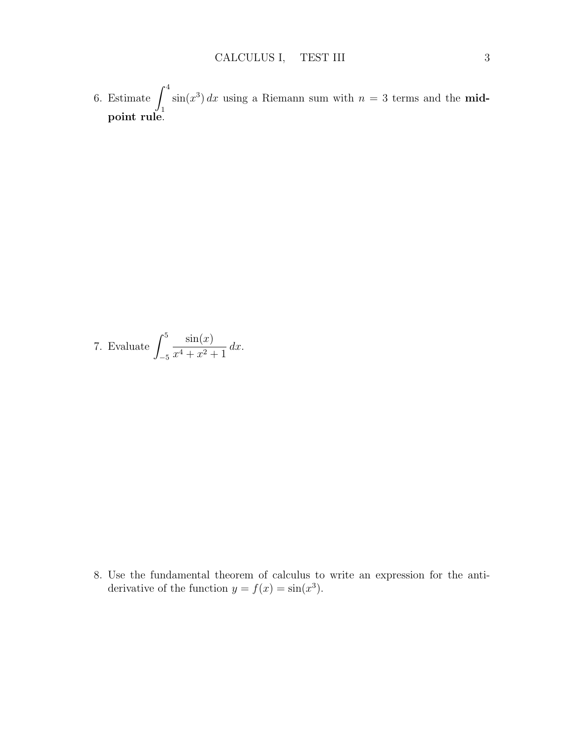6. Estimate  $\int_0^4$ 1  $\sin(x^3) dx$  using a Riemann sum with  $n = 3$  terms and the **mid**point rule.

7. Evaluate 
$$
\int_{-5}^{5} \frac{\sin(x)}{x^4 + x^2 + 1} dx.
$$

8. Use the fundamental theorem of calculus to write an expression for the antiderivative of the function  $y = f(x) = \sin(x^3)$ .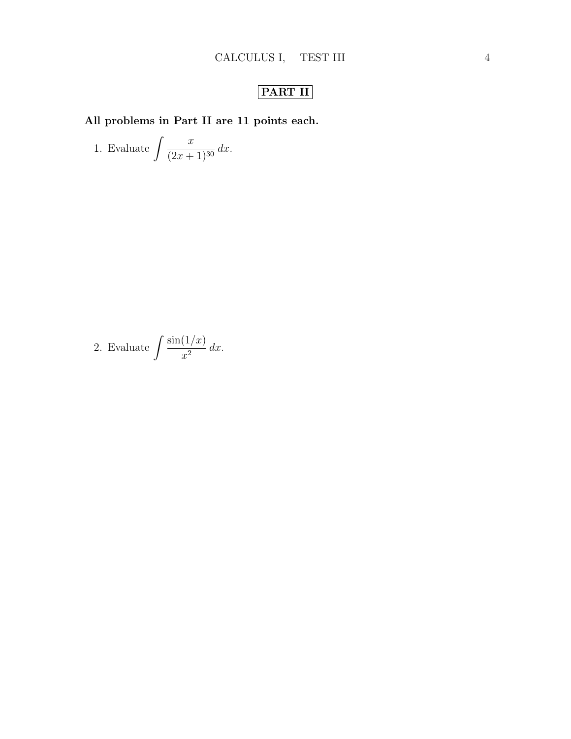## PART II

All problems in Part II are 11 points each.

1. Evaluate 
$$
\int \frac{x}{(2x+1)^{30}} dx.
$$

2. Evaluate 
$$
\int \frac{\sin(1/x)}{x^2} dx.
$$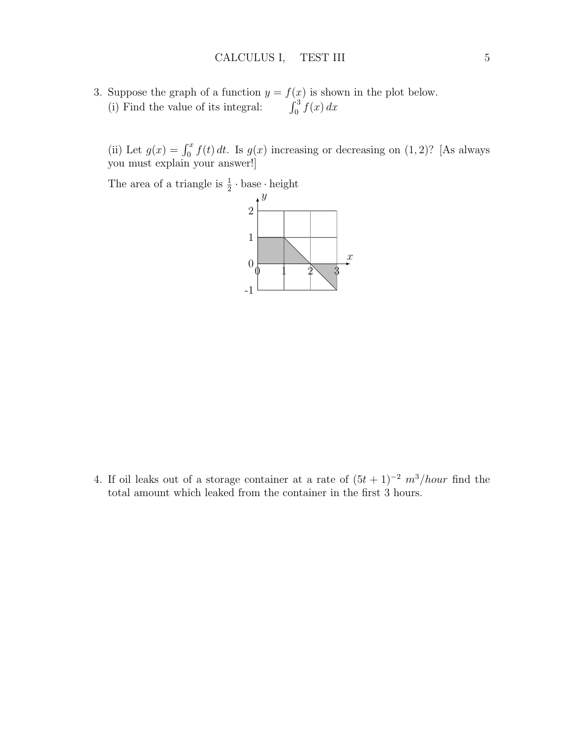3. Suppose the graph of a function  $y = f(x)$  is shown in the plot below. (i) Find the value of its integral:  $\int_0^3 f(x) dx$ 

(ii) Let  $g(x) = \int_0^x f(t) dt$ . Is  $g(x)$  increasing or decreasing on  $(1, 2)$ ? [As always you must explain your answer!]

The area of a triangle is  $\frac{1}{2} \cdot \text{base} \cdot \text{height}$ 



4. If oil leaks out of a storage container at a rate of  $(5t + 1)^{-2} m^3/hour$  find the total amount which leaked from the container in the first 3 hours.